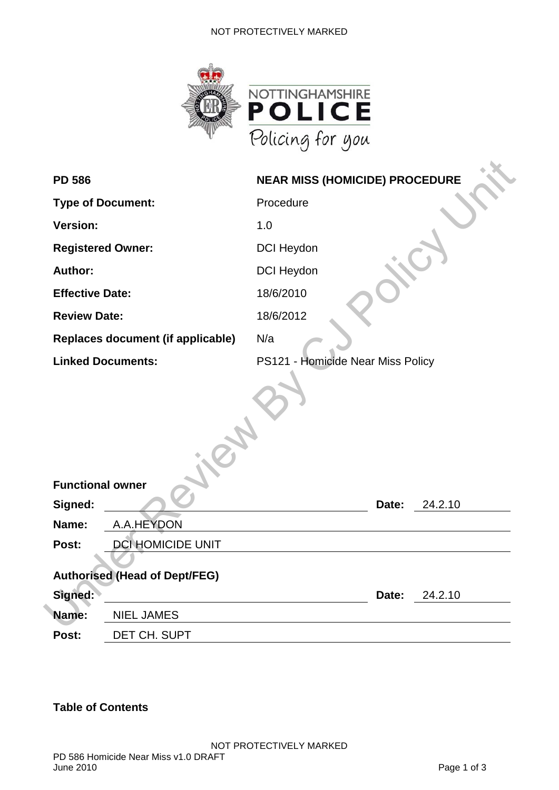#### NOT PROTECTIVELY MARKED



| <b>PD 586</b>                        | <b>NEAR MISS (HOMICIDE) PROCEDURE</b> |  |  |
|--------------------------------------|---------------------------------------|--|--|
| <b>Type of Document:</b>             | Procedure                             |  |  |
| <b>Version:</b>                      | 1.0                                   |  |  |
| <b>Registered Owner:</b>             | <b>DCI Heydon</b>                     |  |  |
| Author:                              | <b>DCI Heydon</b>                     |  |  |
| <b>Effective Date:</b>               | 18/6/2010                             |  |  |
| <b>Review Date:</b>                  | 18/6/2012                             |  |  |
| Replaces document (if applicable)    | N/a                                   |  |  |
| <b>Linked Documents:</b>             | PS121 - Homicide Near Miss Policy     |  |  |
|                                      |                                       |  |  |
| <b>Functional owner</b>              |                                       |  |  |
| Signed:                              | 24.2.10<br>Date:                      |  |  |
| A.A.HEYDON<br>Name:                  |                                       |  |  |
| Post:<br><b>DCI HOMICIDE UNIT</b>    |                                       |  |  |
| <b>Authorised (Head of Dept/FEG)</b> |                                       |  |  |
| Signed:                              | 24.2.10<br>Date:                      |  |  |
| Name:<br><b>NIEL JAMES</b>           |                                       |  |  |
| Post:<br>DET CH. SUPT                |                                       |  |  |

### **Table of Contents**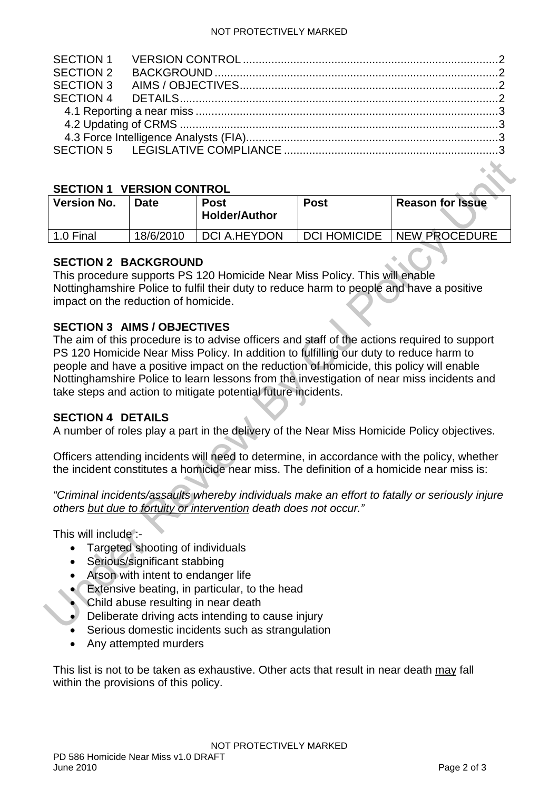#### <span id="page-1-0"></span>**SECTION 1 VERSION CONTROL**

| <b>Version No.</b> | Date      | <b>Post</b><br><b>Holder/Author</b> | <b>Post</b>         | <b>Reason for Issue</b> |
|--------------------|-----------|-------------------------------------|---------------------|-------------------------|
| 1.0 Final          | 18/6/2010 | <b>DCI A.HEYDON</b>                 | <b>DCI HOMICIDE</b> | <b>NEW PROCEDURE</b>    |

### <span id="page-1-1"></span>**SECTION 2 BACKGROUND**

This procedure supports PS 120 Homicide Near Miss Policy. This will enable Nottinghamshire Police to fulfil their duty to reduce harm to people and have a positive impact on the reduction of homicide.

### <span id="page-1-2"></span>**SECTION 3 AIMS / OBJECTIVES**

SECTION 1 VERSION CONTROL<br>
Version No. Date **Fost**<br>
Holder/Author<br>
1.0 Final 18/6/2010 DCI A.HEYDON DCI HOMICIDE NEW PROCEDURE<br>
SECTION 2 BACKGROUND<br>
This procedure supports PS 120 Homicide Near Miss Policy. This will enab The aim of this procedure is to advise officers and staff of the actions required to support PS 120 Homicide Near Miss Policy. In addition to fulfilling our duty to reduce harm to people and have a positive impact on the reduction of homicide, this policy will enable Nottinghamshire Police to learn lessons from the investigation of near miss incidents and take steps and action to mitigate potential future incidents.

## <span id="page-1-3"></span>**SECTION 4 DETAILS**

A number of roles play a part in the delivery of the Near Miss Homicide Policy objectives.

Officers attending incidents will need to determine, in accordance with the policy, whether the incident constitutes a homicide near miss. The definition of a homicide near miss is:

*"Criminal incidents/assaults whereby individuals make an effort to fatally or seriously injure others but due to fortuity or intervention death does not occur."*

This will include :-

- Targeted shooting of individuals
- Serious/significant stabbing
- Arson with intent to endanger life
- Extensive beating, in particular, to the head
- Child abuse resulting in near death
- Deliberate driving acts intending to cause injury
- Serious domestic incidents such as strangulation
- Any attempted murders

This list is not to be taken as exhaustive. Other acts that result in near death may fall within the provisions of this policy.